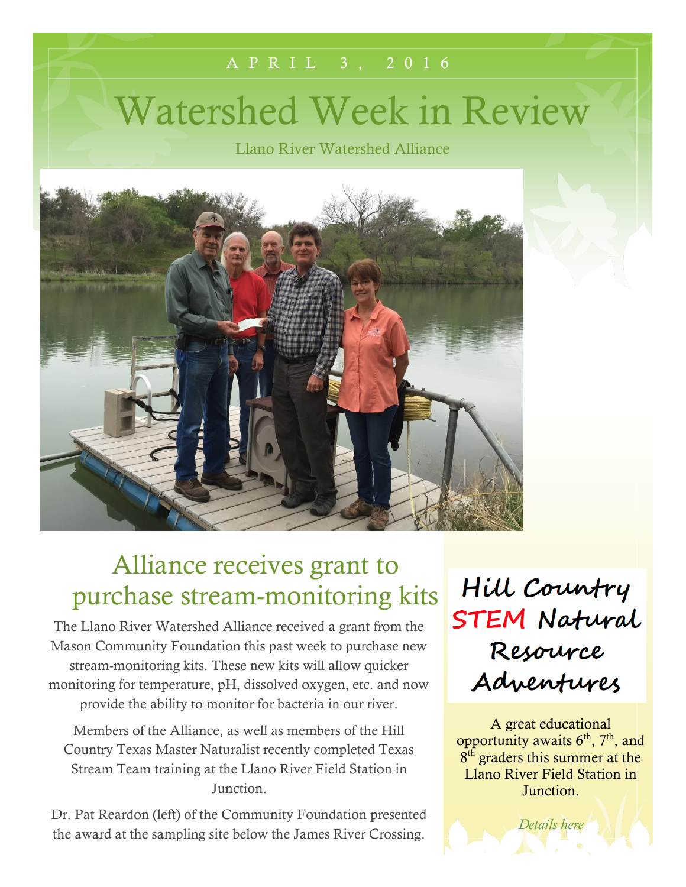# Watershed Week in Review

A P R I L 3 , 2 0 1 6

Llano River Watershed Alliance



### Alliance receives grant to purchase stream-monitoring kits

The Llano River Watershed Alliance received a grant from the Mason Community Foundation this past week to purchase new stream-monitoring kits. These new kits will allow quicker monitoring for temperature, pH, dissolved oxygen, etc. and now provide the ability to monitor for bacteria in our river.

Members of the Alliance, as well as members of the Hill Country Texas Master Naturalist recently completed Texas Stream Team training at the Llano River Field Station in Junction.

Dr. Pat Reardon (left) of the Community Foundation presented the award at the sampling site below the James River Crossing.

Hill Country **STEM Natural** Resource Adventures

A great educational opportunity awaits  $6<sup>th</sup>$ ,  $7<sup>th</sup>$ , and 8<sup>th</sup> graders this summer at the Llano River Field Station in Junction.

*[Details here](http://southllano.org/blog/wp-content/files/STEM%20Camp%20Registration%20Packet.pdf)*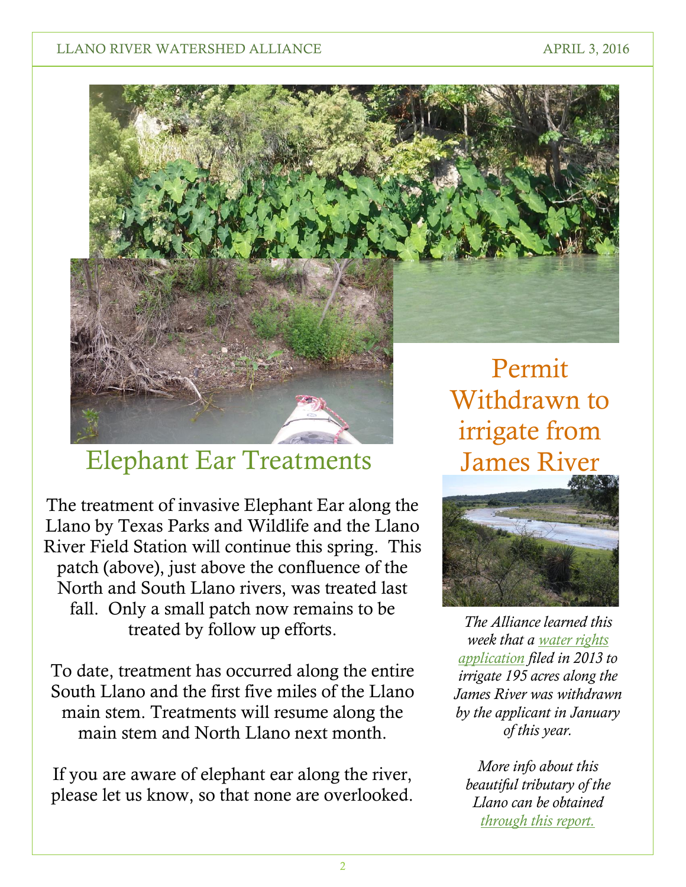### LLANO RIVER WATERSHED ALLIANCE APRIL 3, 2016



### Elephant Ear Treatments

The treatment of invasive Elephant Ear along the Llano by Texas Parks and Wildlife and the Llano River Field Station will continue this spring. This patch (above), just above the confluence of the North and South Llano rivers, was treated last fall. Only a small patch now remains to be treated by follow up efforts.

To date, treatment has occurred along the entire South Llano and the first five miles of the Llano main stem. Treatments will resume along the main stem and North Llano next month.

If you are aware of elephant ear along the river, please let us know, so that none are overlooked. irrigate from James River



*The Alliance learned this week that a [water rights](http://southllano.org/blog/wp-content/files/Star%20S%20Ranch%20WUP%2013025.pdf)  [application](http://southllano.org/blog/wp-content/files/Star%20S%20Ranch%20WUP%2013025.pdf) filed in 2013 to irrigate 195 acres along the James River was withdrawn by the applicant in January of this year.*

*More info about this beautiful tributary of the Llano can be obtained [through this report.](http://southllano.org/blog/wp-content/files/James%20River%20Report%20Draft%203.18.101.pdf)*